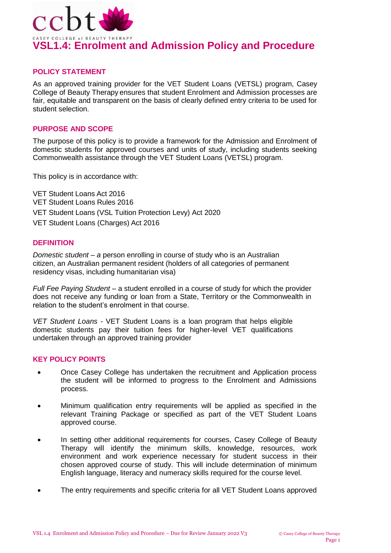

## **POLICY STATEMENT**

As an approved training provider for the VET Student Loans (VETSL) program, Casey College of Beauty Therapy ensures that student Enrolment and Admission processes are fair, equitable and transparent on the basis of clearly defined entry criteria to be used for student selection.

## **PURPOSE AND SCOPE**

The purpose of this policy is to provide a framework for the Admission and Enrolment of domestic students for approved courses and units of study, including students seeking Commonwealth assistance through the VET Student Loans (VETSL) program.

This policy is in accordance with:

VET Student Loans Act 2016 VET Student Loans Rules 2016 VET Student Loans (VSL Tuition Protection Levy) Act 2020 VET Student Loans (Charges) Act 2016

#### **DEFINITION**

*Domestic student – a person enrolling in course of study who is an Australian* citizen, an Australian permanent resident (holders of all categories of permanent residency visas, including humanitarian visa)

*Full Fee Paying Student* – a student enrolled in a course of study for which the provider does not receive any funding or loan from a State, Territory or the Commonwealth in relation to the student's enrolment in that course.

*VET Student Loans -* VET Student Loans is a loan program that helps eligible domestic students pay their tuition fees for higher-level VET qualifications undertaken through an approved training provider

#### **KEY POLICY POINTS**

- Once Casey College has undertaken the recruitment and Application process the student will be informed to progress to the Enrolment and Admissions process.
- Minimum qualification entry requirements will be applied as specified in the relevant Training Package or specified as part of the VET Student Loans approved course.
- In setting other additional requirements for courses, Casey College of Beauty Therapy will identify the minimum skills, knowledge, resources, work environment and work experience necessary for student success in their chosen approved course of study. This will include determination of minimum English language, literacy and numeracy skills required for the course level.
- The entry requirements and specific criteria for all VET Student Loans approved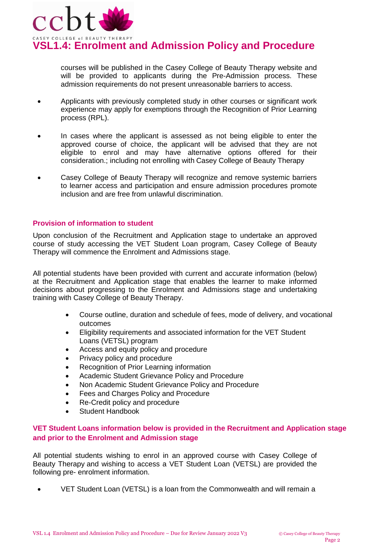

**VSL1.4: Enrolment and Admission Policy and Procedure** 

courses will be published in the Casey College of Beauty Therapy website and will be provided to applicants during the Pre-Admission process. These admission requirements do not present unreasonable barriers to access.

- Applicants with previously completed study in other courses or significant work experience may apply for exemptions through the Recognition of Prior Learning process (RPL).
- In cases where the applicant is assessed as not being eligible to enter the approved course of choice, the applicant will be advised that they are not eligible to enrol and may have alternative options offered for their consideration.; including not enrolling with Casey College of Beauty Therapy
- Casey College of Beauty Therapy will recognize and remove systemic barriers to learner access and participation and ensure admission procedures promote inclusion and are free from unlawful discrimination.

## **Provision of information to student**

Upon conclusion of the Recruitment and Application stage to undertake an approved course of study accessing the VET Student Loan program, Casey College of Beauty Therapy will commence the Enrolment and Admissions stage.

All potential students have been provided with current and accurate information (below) at the Recruitment and Application stage that enables the learner to make informed decisions about progressing to the Enrolment and Admissions stage and undertaking training with Casey College of Beauty Therapy.

- Course outline, duration and schedule of fees, mode of delivery, and vocational outcomes
- Eligibility requirements and associated information for the VET Student Loans (VETSL) program
- Access and equity policy and procedure
- Privacy policy and procedure
- Recognition of Prior Learning information
- Academic Student Grievance Policy and Procedure
- Non Academic Student Grievance Policy and Procedure
- Fees and Charges Policy and Procedure
- Re-Credit policy and procedure
- Student Handbook

## **VET Student Loans information below is provided in the Recruitment and Application stage and prior to the Enrolment and Admission stage**

All potential students wishing to enrol in an approved course with Casey College of Beauty Therapy and wishing to access a VET Student Loan (VETSL) are provided the following pre- enrolment information.

VET Student Loan (VETSL) is a loan from the Commonwealth and will remain a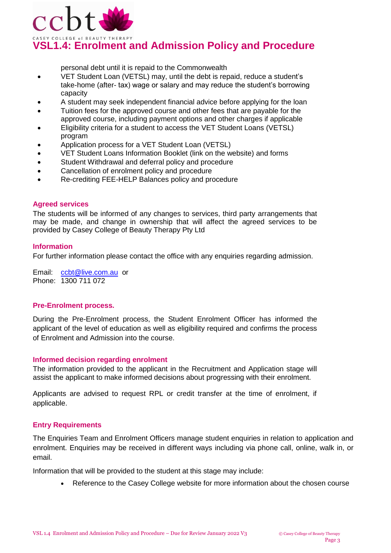

# **VSL1.4: Enrolment and Admission Policy and Procedure**

personal debt until it is repaid to the Commonwealth

- VET Student Loan (VETSL) may, until the debt is repaid, reduce a student's take-home (after- tax) wage or salary and may reduce the student's borrowing capacity
- A student may seek independent financial advice before applying for the loan
- Tuition fees for the approved course and other fees that are payable for the approved course, including payment options and other charges if applicable
- Eligibility criteria for a student to access the VET Student Loans (VETSL) program
- Application process for a VET Student Loan (VETSL)
- VET Student Loans Information Booklet (link on the website) and forms
- Student Withdrawal and deferral policy and procedure
- Cancellation of enrolment policy and procedure
- Re-crediting FEE-HELP Balances policy and procedure

#### **Agreed services**

The students will be informed of any changes to services, third party arrangements that may be made, and change in ownership that will affect the agreed services to be provided by Casey College of Beauty Therapy Pty Ltd

#### **Information**

For further information please contact the office with any enquiries regarding admission.

Email: [ccbt@live.com.au](mailto:ccbt@live.com.au) or Phone: 1300 711 072

## **Pre-Enrolment process.**

During the Pre-Enrolment process, the Student Enrolment Officer has informed the applicant of the level of education as well as eligibility required and confirms the process of Enrolment and Admission into the course.

## **Informed decision regarding enrolment**

The information provided to the applicant in the Recruitment and Application stage will assist the applicant to make informed decisions about progressing with their enrolment.

Applicants are advised to request RPL or credit transfer at the time of enrolment, if applicable.

## **Entry Requirements**

The Enquiries Team and Enrolment Officers manage student enquiries in relation to application and enrolment. Enquiries may be received in different ways including via phone call, online, walk in, or email.

Information that will be provided to the student at this stage may include:

Reference to the Casey College website for more information about the chosen course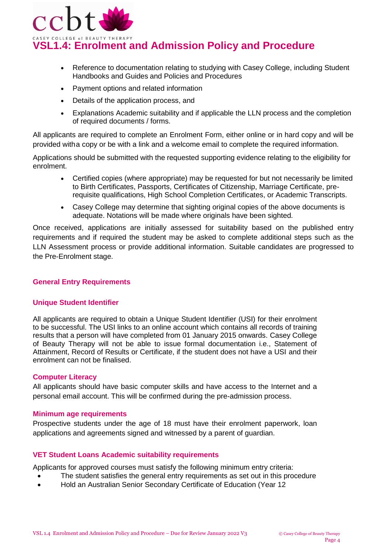

- Reference to documentation relating to studying with Casey College, including Student Handbooks and Guides and Policies and Procedures
- Payment options and related information
- Details of the application process, and
- Explanations Academic suitability and if applicable the LLN process and the completion of required documents / forms.

All applicants are required to complete an Enrolment Form, either online or in hard copy and will be provided witha copy or be with a link and a welcome email to complete the required information.

Applications should be submitted with the requested supporting evidence relating to the eligibility for enrolment.

- Certified copies (where appropriate) may be requested for but not necessarily be limited to Birth Certificates, Passports, Certificates of Citizenship, Marriage Certificate, prerequisite qualifications, High School Completion Certificates, or Academic Transcripts.
- Casey College may determine that sighting original copies of the above documents is adequate. Notations will be made where originals have been sighted.

Once received, applications are initially assessed for suitability based on the published entry requirements and if required the student may be asked to complete additional steps such as the LLN Assessment process or provide additional information. Suitable candidates are progressed to the Pre-Enrolment stage.

## **General Entry Requirements**

## **Unique Student Identifier**

All applicants are required to obtain a Unique Student Identifier (USI) for their enrolment to be successful. The USI links to an online account which contains all records of training results that a person will have completed from 01 January 2015 onwards. Casey College of Beauty Therapy will not be able to issue formal documentation i.e., Statement of Attainment, Record of Results or Certificate, if the student does not have a USI and their enrolment can not be finalised.

## **Computer Literacy**

All applicants should have basic computer skills and have access to the Internet and a personal email account. This will be confirmed during the pre-admission process.

## **Minimum age requirements**

Prospective students under the age of 18 must have their enrolment paperwork, loan applications and agreements signed and witnessed by a parent of guardian.

## **VET Student Loans Academic suitability requirements**

Applicants for approved courses must satisfy the following minimum entry criteria:

- The student satisfies the general entry requirements as set out in this procedure
- Hold an Australian Senior Secondary Certificate of Education (Year 12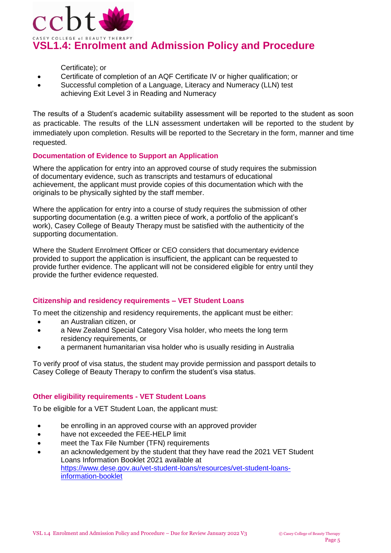

Certificate); or

- Certificate of completion of an AQF Certificate IV or higher qualification; or
- Successful completion of a Language, Literacy and Numeracy (LLN) test achieving Exit Level 3 in Reading and Numeracy

The results of a Student's academic suitability assessment will be reported to the student as soon as practicable. The results of the LLN assessment undertaken will be reported to the student by immediately upon completion. Results will be reported to the Secretary in the form, manner and time requested.

## **Documentation of Evidence to Support an Application**

Where the application for entry into an approved course of study requires the submission of documentary evidence, such as transcripts and testamurs of educational achievement, the applicant must provide copies of this documentation which with the originals to be physically sighted by the staff member.

Where the application for entry into a course of study requires the submission of other supporting documentation (e.g. a written piece of work, a portfolio of the applicant's work), Casey College of Beauty Therapy must be satisfied with the authenticity of the supporting documentation.

Where the Student Enrolment Officer or CEO considers that documentary evidence provided to support the application is insufficient, the applicant can be requested to provide further evidence. The applicant will not be considered eligible for entry until they provide the further evidence requested.

## **Citizenship and residency requirements – VET Student Loans**

To meet the citizenship and residency requirements, the applicant must be either:

- an Australian citizen, or
- a New Zealand Special Category Visa holder, who meets the long term residency requirements, or
- a permanent humanitarian visa holder who is usually residing in Australia

To verify proof of visa status, the student may provide permission and passport details to Casey College of Beauty Therapy to confirm the student's visa status.

## **Other eligibility requirements - VET Student Loans**

To be eligible for a VET Student Loan, the applicant must:

- be enrolling in an approved course with an approved provider
- have not exceeded the FEE-HELP limit
- meet the Tax File Number (TFN) requirements
- an acknowledgement by the student that they have read the 2021 VET Student Loans Information Booklet 2021 available at [https://www.dese.gov.au/vet-student-loans/resources/vet-student-loans](https://www.dese.gov.au/vet-student-loans/resources/vet-student-loans-information-booklet)[information-booklet](https://www.dese.gov.au/vet-student-loans/resources/vet-student-loans-information-booklet)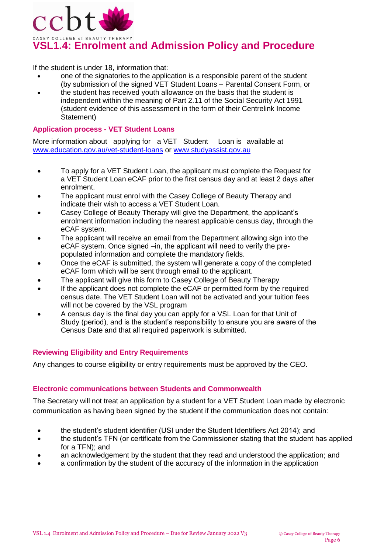

If the student is under 18, information that:

- one of the signatories to the application is a responsible parent of the student (by submission of the signed VET Student Loans – [Parental Consent Form,](https://www.dese.gov.au/vet-student-loans/resources/request-vet-student-loan-parental-consent-student-under-18-years) or
- the student has received youth allowance on the basis that the student is independent within the meaning of Part 2.11 of the Social Security Act 1991 (student evidence of this assessment in the form of their Centrelink Income Statement)

#### **Application process - VET Student Loans**

More information about applying for a VET Student Loan is available at [www.education.gov.au/vet-student-loans](http://www.education.gov.au/vet-student-loans) or [www.studyassist.gov.au](http://www.studyassist.gov.au/)

- To apply for a VET Student Loan, the applicant must complete the Request for a VET Student Loan eCAF prior to the first census day and at least 2 days after enrolment.
- The applicant must enrol with the Casey College of Beauty Therapy and indicate their wish to access a VET Student Loan.
- Casey College of Beauty Therapy will give the Department, the applicant's enrolment information including the nearest applicable census day, through the eCAF system.
- The applicant will receive an email from the Department allowing sign into the eCAF system. Once signed –in, the applicant will need to verify the prepopulated information and complete the mandatory fields.
- Once the eCAF is submitted, the system will generate a copy of the completed eCAF form which will be sent through email to the applicant.
- The applicant will give this form to Casey College of Beauty Therapy
- If the applicant does not complete the eCAF or permitted form by the required census date. The VET Student Loan will not be activated and your tuition fees will not be covered by the VSL program
- A census day is the final day you can apply for a VSL Loan for that Unit of Study (period), and is the student's responsibility to ensure you are aware of the Census Date and that all required paperwork is submitted.

## **Reviewing Eligibility and Entry Requirements**

Any changes to course eligibility or entry requirements must be approved by the CEO.

## **Electronic communications between Students and Commonwealth**

The Secretary will not treat an application by a student for a VET Student Loan made by electronic communication as having been signed by the student if the communication does not contain:

- the student's student identifier (USI under the Student Identifiers Act 2014); and
- the student's TFN (or certificate from the Commissioner stating that the student has applied for a TFN); and
- an acknowledgement by the student that they read and understood the application; and
- a confirmation by the student of the accuracy of the information in the application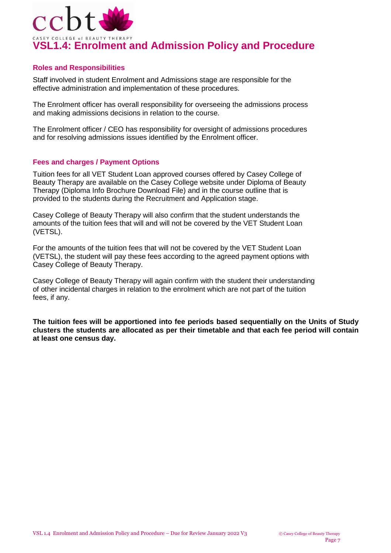

## **Roles and Responsibilities**

Staff involved in student Enrolment and Admissions stage are responsible for the effective administration and implementation of these procedures.

The Enrolment officer has overall responsibility for overseeing the admissions process and making admissions decisions in relation to the course.

The Enrolment officer / CEO has responsibility for oversight of admissions procedures and for resolving admissions issues identified by the Enrolment officer.

## **Fees and charges / Payment Options**

Tuition fees for all VET Student Loan approved courses offered by Casey College of Beauty Therapy are available on the Casey College website under Diploma of Beauty Therapy (Diploma Info Brochure Download File) and in the course outline that is provided to the students during the Recruitment and Application stage.

Casey College of Beauty Therapy will also confirm that the student understands the amounts of the tuition fees that will and will not be covered by the VET Student Loan (VETSL).

For the amounts of the tuition fees that will not be covered by the VET Student Loan (VETSL), the student will pay these fees according to the agreed payment options with Casey College of Beauty Therapy.

Casey College of Beauty Therapy will again confirm with the student their understanding of other incidental charges in relation to the enrolment which are not part of the tuition fees, if any.

**The tuition fees will be apportioned into fee periods based sequentially on the Units of Study clusters the students are allocated as per their timetable and that each fee period will contain at least one census day.**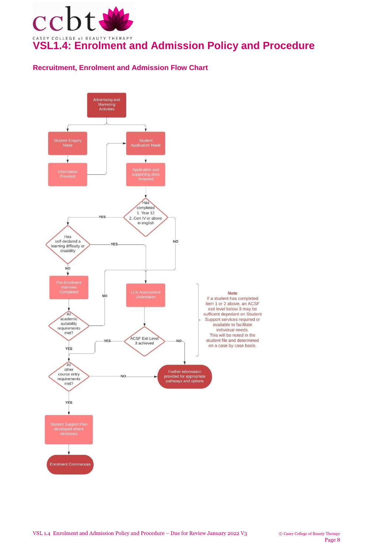

# **Recruitment, Enrolment and Admission Flow Chart**